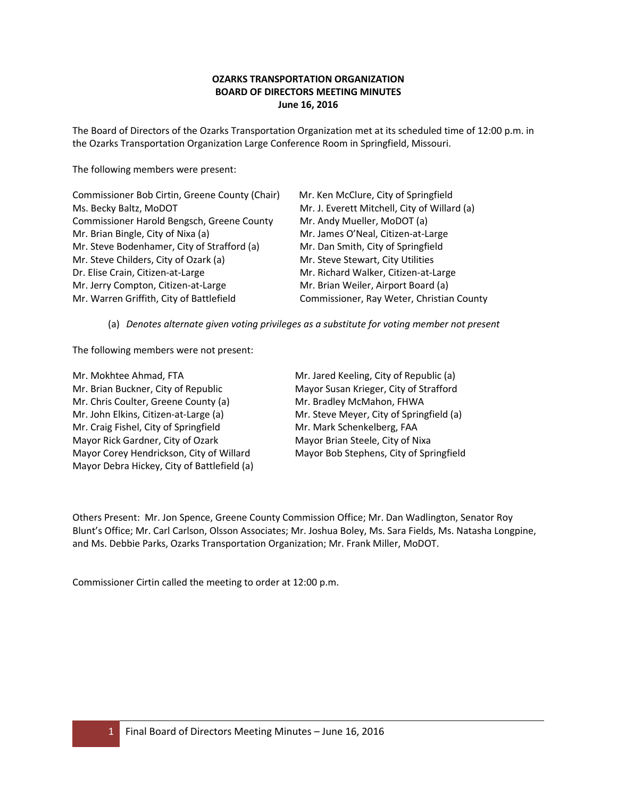# **OZARKS TRANSPORTATION ORGANIZATION BOARD OF DIRECTORS MEETING MINUTES June 16, 2016**

The Board of Directors of the Ozarks Transportation Organization met at its scheduled time of 12:00 p.m. in the Ozarks Transportation Organization Large Conference Room in Springfield, Missouri.

The following members were present:

| Commissioner Bob Cirtin, Greene County (Chair) | Mr. Ken McClure, City of Springfield         |
|------------------------------------------------|----------------------------------------------|
| Ms. Becky Baltz, MoDOT                         | Mr. J. Everett Mitchell, City of Willard (a) |
| Commissioner Harold Bengsch, Greene County     | Mr. Andy Mueller, MoDOT (a)                  |
| Mr. Brian Bingle, City of Nixa (a)             | Mr. James O'Neal, Citizen-at-Large           |
| Mr. Steve Bodenhamer, City of Strafford (a)    | Mr. Dan Smith, City of Springfield           |
| Mr. Steve Childers, City of Ozark (a)          | Mr. Steve Stewart, City Utilities            |
| Dr. Elise Crain, Citizen-at-Large              | Mr. Richard Walker, Citizen-at-Large         |
| Mr. Jerry Compton, Citizen-at-Large            | Mr. Brian Weiler, Airport Board (a)          |
| Mr. Warren Griffith, City of Battlefield       | Commissioner, Ray Weter, Christian County    |

(a) *Denotes alternate given voting privileges as a substitute for voting member not present*

The following members were not present:

Mr. Mokhtee Ahmad, FTA Mr. Jared Keeling, City of Republic (a) Mr. Brian Buckner, City of Republic Mayor Susan Krieger, City of Strafford Mr. Chris Coulter, Greene County (a) Mr. Bradley McMahon, FHWA Mr. John Elkins, Citizen-at-Large (a) Mr. Steve Meyer, City of Springfield (a) Mr. Craig Fishel, City of Springfield Mr. Mark Schenkelberg, FAA Mayor Rick Gardner, City of Ozark Mayor Brian Steele, City of Nixa Mayor Corey Hendrickson, City of Willard Mayor Bob Stephens, City of Springfield Mayor Debra Hickey, City of Battlefield (a)

Others Present: Mr. Jon Spence, Greene County Commission Office; Mr. Dan Wadlington, Senator Roy Blunt's Office; Mr. Carl Carlson, Olsson Associates; Mr. Joshua Boley, Ms. Sara Fields, Ms. Natasha Longpine, and Ms. Debbie Parks, Ozarks Transportation Organization; Mr. Frank Miller, MoDOT.

Commissioner Cirtin called the meeting to order at 12:00 p.m.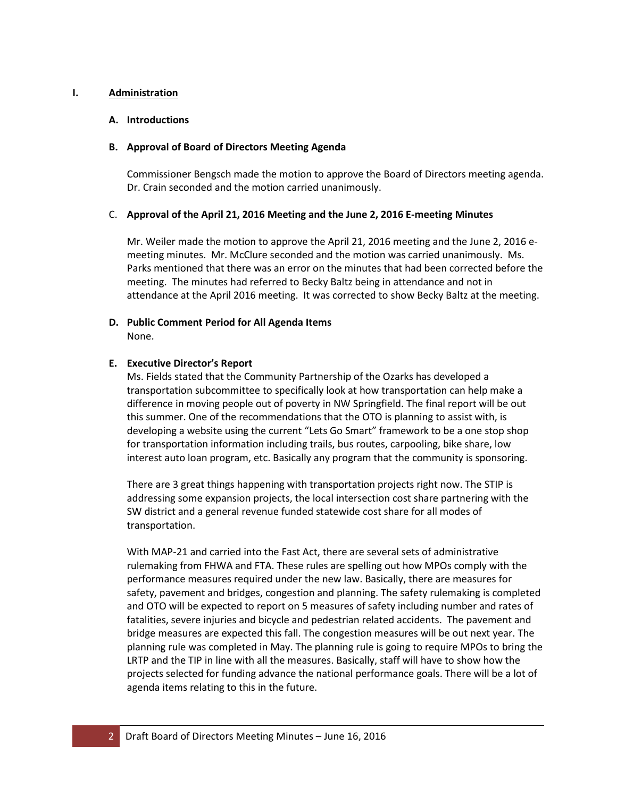## **I. Administration**

## **A. Introductions**

## **B. Approval of Board of Directors Meeting Agenda**

Commissioner Bengsch made the motion to approve the Board of Directors meeting agenda. Dr. Crain seconded and the motion carried unanimously.

## C. **Approval of the April 21, 2016 Meeting and the June 2, 2016 E-meeting Minutes**

Mr. Weiler made the motion to approve the April 21, 2016 meeting and the June 2, 2016 emeeting minutes. Mr. McClure seconded and the motion was carried unanimously. Ms. Parks mentioned that there was an error on the minutes that had been corrected before the meeting. The minutes had referred to Becky Baltz being in attendance and not in attendance at the April 2016 meeting. It was corrected to show Becky Baltz at the meeting.

## **D. Public Comment Period for All Agenda Items**  None.

## **E. Executive Director's Report**

Ms. Fields stated that the Community Partnership of the Ozarks has developed a transportation subcommittee to specifically look at how transportation can help make a difference in moving people out of poverty in NW Springfield. The final report will be out this summer. One of the recommendations that the OTO is planning to assist with, is developing a website using the current "Lets Go Smart" framework to be a one stop shop for transportation information including trails, bus routes, carpooling, bike share, low interest auto loan program, etc. Basically any program that the community is sponsoring.

There are 3 great things happening with transportation projects right now. The STIP is addressing some expansion projects, the local intersection cost share partnering with the SW district and a general revenue funded statewide cost share for all modes of transportation.

With MAP-21 and carried into the Fast Act, there are several sets of administrative rulemaking from FHWA and FTA. These rules are spelling out how MPOs comply with the performance measures required under the new law. Basically, there are measures for safety, pavement and bridges, congestion and planning. The safety rulemaking is completed and OTO will be expected to report on 5 measures of safety including number and rates of fatalities, severe injuries and bicycle and pedestrian related accidents. The pavement and bridge measures are expected this fall. The congestion measures will be out next year. The planning rule was completed in May. The planning rule is going to require MPOs to bring the LRTP and the TIP in line with all the measures. Basically, staff will have to show how the projects selected for funding advance the national performance goals. There will be a lot of agenda items relating to this in the future.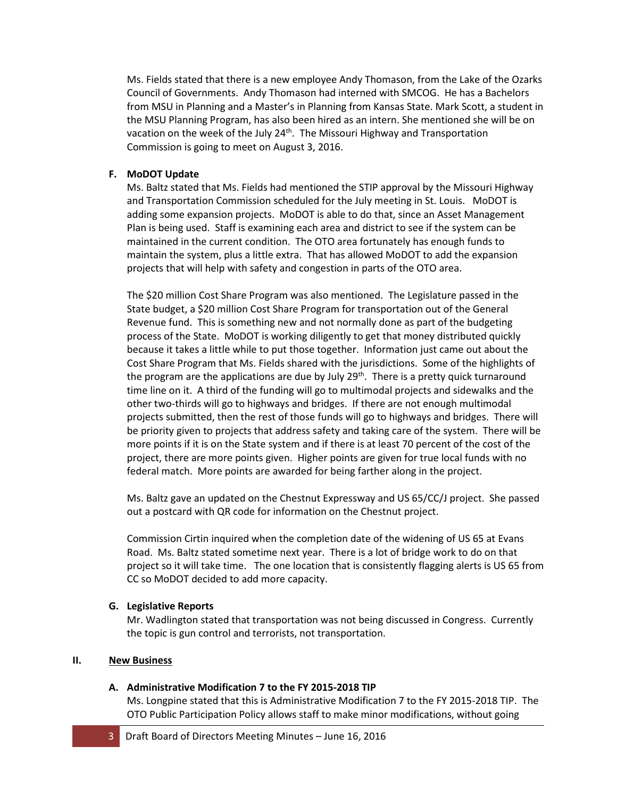Ms. Fields stated that there is a new employee Andy Thomason, from the Lake of the Ozarks Council of Governments. Andy Thomason had interned with SMCOG. He has a Bachelors from MSU in Planning and a Master's in Planning from Kansas State. Mark Scott, a student in the MSU Planning Program, has also been hired as an intern. She mentioned she will be on vacation on the week of the July 24<sup>th</sup>. The Missouri Highway and Transportation Commission is going to meet on August 3, 2016.

## **F. MoDOT Update**

Ms. Baltz stated that Ms. Fields had mentioned the STIP approval by the Missouri Highway and Transportation Commission scheduled for the July meeting in St. Louis. MoDOT is adding some expansion projects. MoDOT is able to do that, since an Asset Management Plan is being used. Staff is examining each area and district to see if the system can be maintained in the current condition. The OTO area fortunately has enough funds to maintain the system, plus a little extra. That has allowed MoDOT to add the expansion projects that will help with safety and congestion in parts of the OTO area.

The \$20 million Cost Share Program was also mentioned. The Legislature passed in the State budget, a \$20 million Cost Share Program for transportation out of the General Revenue fund. This is something new and not normally done as part of the budgeting process of the State. MoDOT is working diligently to get that money distributed quickly because it takes a little while to put those together. Information just came out about the Cost Share Program that Ms. Fields shared with the jurisdictions. Some of the highlights of the program are the applications are due by July 29<sup>th</sup>. There is a pretty quick turnaround time line on it. A third of the funding will go to multimodal projects and sidewalks and the other two-thirds will go to highways and bridges. If there are not enough multimodal projects submitted, then the rest of those funds will go to highways and bridges. There will be priority given to projects that address safety and taking care of the system. There will be more points if it is on the State system and if there is at least 70 percent of the cost of the project, there are more points given. Higher points are given for true local funds with no federal match. More points are awarded for being farther along in the project.

Ms. Baltz gave an updated on the Chestnut Expressway and US 65/CC/J project. She passed out a postcard with QR code for information on the Chestnut project.

Commission Cirtin inquired when the completion date of the widening of US 65 at Evans Road. Ms. Baltz stated sometime next year. There is a lot of bridge work to do on that project so it will take time. The one location that is consistently flagging alerts is US 65 from CC so MoDOT decided to add more capacity.

### **G. Legislative Reports**

Mr. Wadlington stated that transportation was not being discussed in Congress. Currently the topic is gun control and terrorists, not transportation.

### **II. New Business**

### **A. Administrative Modification 7 to the FY 2015-2018 TIP**

Ms. Longpine stated that this is Administrative Modification 7 to the FY 2015-2018 TIP. The OTO Public Participation Policy allows staff to make minor modifications, without going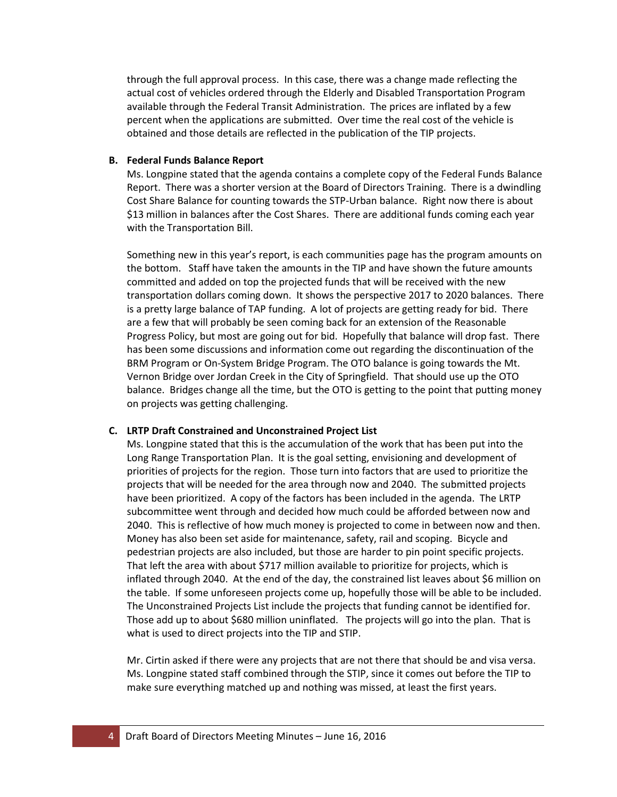through the full approval process. In this case, there was a change made reflecting the actual cost of vehicles ordered through the Elderly and Disabled Transportation Program available through the Federal Transit Administration. The prices are inflated by a few percent when the applications are submitted. Over time the real cost of the vehicle is obtained and those details are reflected in the publication of the TIP projects.

## **B. Federal Funds Balance Report**

Ms. Longpine stated that the agenda contains a complete copy of the Federal Funds Balance Report. There was a shorter version at the Board of Directors Training. There is a dwindling Cost Share Balance for counting towards the STP-Urban balance. Right now there is about \$13 million in balances after the Cost Shares. There are additional funds coming each year with the Transportation Bill.

Something new in this year's report, is each communities page has the program amounts on the bottom. Staff have taken the amounts in the TIP and have shown the future amounts committed and added on top the projected funds that will be received with the new transportation dollars coming down. It shows the perspective 2017 to 2020 balances. There is a pretty large balance of TAP funding. A lot of projects are getting ready for bid. There are a few that will probably be seen coming back for an extension of the Reasonable Progress Policy, but most are going out for bid. Hopefully that balance will drop fast. There has been some discussions and information come out regarding the discontinuation of the BRM Program or On-System Bridge Program. The OTO balance is going towards the Mt. Vernon Bridge over Jordan Creek in the City of Springfield. That should use up the OTO balance. Bridges change all the time, but the OTO is getting to the point that putting money on projects was getting challenging.

#### **C. LRTP Draft Constrained and Unconstrained Project List**

Ms. Longpine stated that this is the accumulation of the work that has been put into the Long Range Transportation Plan. It is the goal setting, envisioning and development of priorities of projects for the region. Those turn into factors that are used to prioritize the projects that will be needed for the area through now and 2040. The submitted projects have been prioritized. A copy of the factors has been included in the agenda. The LRTP subcommittee went through and decided how much could be afforded between now and 2040. This is reflective of how much money is projected to come in between now and then. Money has also been set aside for maintenance, safety, rail and scoping. Bicycle and pedestrian projects are also included, but those are harder to pin point specific projects. That left the area with about \$717 million available to prioritize for projects, which is inflated through 2040. At the end of the day, the constrained list leaves about \$6 million on the table. If some unforeseen projects come up, hopefully those will be able to be included. The Unconstrained Projects List include the projects that funding cannot be identified for. Those add up to about \$680 million uninflated. The projects will go into the plan. That is what is used to direct projects into the TIP and STIP.

Mr. Cirtin asked if there were any projects that are not there that should be and visa versa. Ms. Longpine stated staff combined through the STIP, since it comes out before the TIP to make sure everything matched up and nothing was missed, at least the first years.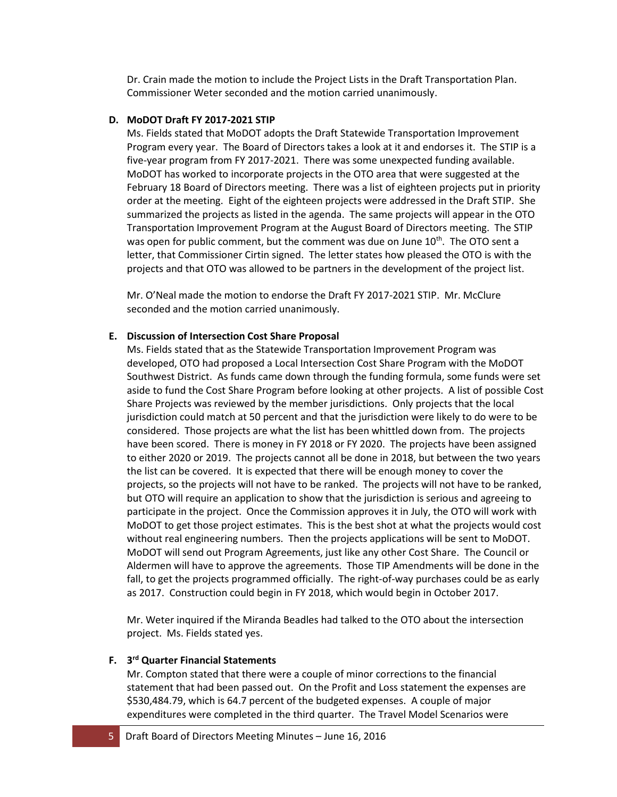Dr. Crain made the motion to include the Project Lists in the Draft Transportation Plan. Commissioner Weter seconded and the motion carried unanimously.

#### **D. MoDOT Draft FY 2017-2021 STIP**

Ms. Fields stated that MoDOT adopts the Draft Statewide Transportation Improvement Program every year. The Board of Directors takes a look at it and endorses it. The STIP is a five-year program from FY 2017-2021. There was some unexpected funding available. MoDOT has worked to incorporate projects in the OTO area that were suggested at the February 18 Board of Directors meeting. There was a list of eighteen projects put in priority order at the meeting. Eight of the eighteen projects were addressed in the Draft STIP. She summarized the projects as listed in the agenda. The same projects will appear in the OTO Transportation Improvement Program at the August Board of Directors meeting. The STIP was open for public comment, but the comment was due on June  $10<sup>th</sup>$ . The OTO sent a letter, that Commissioner Cirtin signed. The letter states how pleased the OTO is with the projects and that OTO was allowed to be partners in the development of the project list.

Mr. O'Neal made the motion to endorse the Draft FY 2017-2021 STIP. Mr. McClure seconded and the motion carried unanimously.

### **E. Discussion of Intersection Cost Share Proposal**

Ms. Fields stated that as the Statewide Transportation Improvement Program was developed, OTO had proposed a Local Intersection Cost Share Program with the MoDOT Southwest District. As funds came down through the funding formula, some funds were set aside to fund the Cost Share Program before looking at other projects. A list of possible Cost Share Projects was reviewed by the member jurisdictions. Only projects that the local jurisdiction could match at 50 percent and that the jurisdiction were likely to do were to be considered. Those projects are what the list has been whittled down from. The projects have been scored. There is money in FY 2018 or FY 2020. The projects have been assigned to either 2020 or 2019. The projects cannot all be done in 2018, but between the two years the list can be covered. It is expected that there will be enough money to cover the projects, so the projects will not have to be ranked. The projects will not have to be ranked, but OTO will require an application to show that the jurisdiction is serious and agreeing to participate in the project. Once the Commission approves it in July, the OTO will work with MoDOT to get those project estimates. This is the best shot at what the projects would cost without real engineering numbers. Then the projects applications will be sent to MoDOT. MoDOT will send out Program Agreements, just like any other Cost Share. The Council or Aldermen will have to approve the agreements. Those TIP Amendments will be done in the fall, to get the projects programmed officially. The right-of-way purchases could be as early as 2017. Construction could begin in FY 2018, which would begin in October 2017.

Mr. Weter inquired if the Miranda Beadles had talked to the OTO about the intersection project. Ms. Fields stated yes.

## **F. 3rd Quarter Financial Statements**

Mr. Compton stated that there were a couple of minor corrections to the financial statement that had been passed out. On the Profit and Loss statement the expenses are \$530,484.79, which is 64.7 percent of the budgeted expenses. A couple of major expenditures were completed in the third quarter. The Travel Model Scenarios were